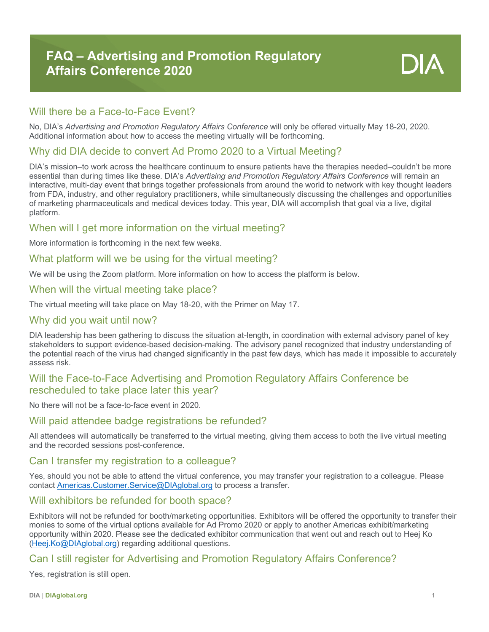# Will there be a Face-to-Face Event?

No, DIA's *Advertising and Promotion Regulatory Affairs Conference* will only be offered virtually May 18-20, 2020. Additional information about how to access the meeting virtually will be forthcoming.

# Why did DIA decide to convert Ad Promo 2020 to a Virtual Meeting?

DIA's mission–to work across the healthcare continuum to ensure patients have the therapies needed–couldn't be more essential than during times like these. DIA's *Advertising and Promotion Regulatory Affairs Conference* will remain an interactive, multi-day event that brings together professionals from around the world to network with key thought leaders from FDA, industry, and other regulatory practitioners, while simultaneously discussing the challenges and opportunities of marketing pharmaceuticals and medical devices today. This year, DIA will accomplish that goal via a live, digital platform.

# When will I get more information on the virtual meeting?

More information is forthcoming in the next few weeks.

# What platform will we be using for the virtual meeting?

We will be using the Zoom platform. More information on how to access the platform is below.

#### When will the virtual meeting take place?

The virtual meeting will take place on May 18-20, with the Primer on May 17.

# Why did you wait until now?

DIA leadership has been gathering to discuss the situation at-length, in coordination with external advisory panel of key stakeholders to support evidence-based decision-making. The advisory panel recognized that industry understanding of the potential reach of the virus had changed significantly in the past few days, which has made it impossible to accurately assess risk.

# Will the Face-to-Face Advertising and Promotion Regulatory Affairs Conference be rescheduled to take place later this year?

No there will not be a face-to-face event in 2020.

# Will paid attendee badge registrations be refunded?

All attendees will automatically be transferred to the virtual meeting, giving them access to both the live virtual meeting and the recorded sessions post-conference.

#### Can I transfer my registration to a colleague?

Yes, should you not be able to attend the virtual conference, you may transfer your registration to a colleague. Please contact Americas.Customer.Service@DIAglobal.org to process a transfer.

# Will exhibitors be refunded for booth space?

Exhibitors will not be refunded for booth/marketing opportunities. Exhibitors will be offered the opportunity to transfer their monies to some of the virtual options available for Ad Promo 2020 or apply to another Americas exhibit/marketing opportunity within 2020. Please see the dedicated exhibitor communication that went out and reach out to Heej Ko (Heej.Ko@DIAglobal.org) regarding additional questions.

# Can I still register for Advertising and Promotion Regulatory Affairs Conference?

Yes, registration is still open.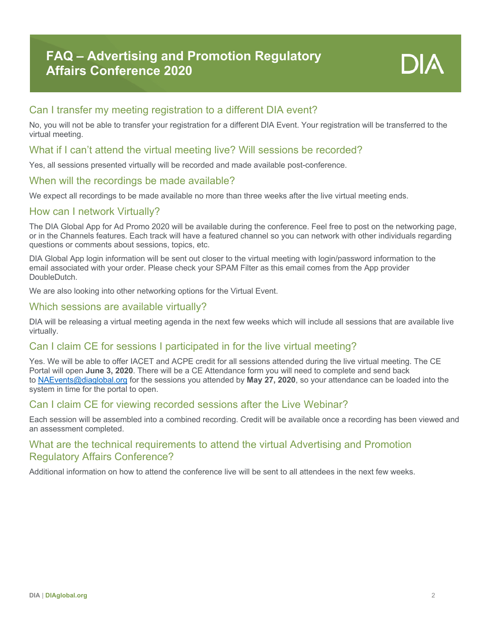

# Can I transfer my meeting registration to a different DIA event?

No, you will not be able to transfer your registration for a different DIA Event. Your registration will be transferred to the virtual meeting.

#### What if I can't attend the virtual meeting live? Will sessions be recorded?

Yes, all sessions presented virtually will be recorded and made available post-conference.

#### When will the recordings be made available?

We expect all recordings to be made available no more than three weeks after the live virtual meeting ends.

#### How can I network Virtually?

The DIA Global App for Ad Promo 2020 will be available during the conference. Feel free to post on the networking page, or in the Channels features. Each track will have a featured channel so you can network with other individuals regarding questions or comments about sessions, topics, etc.

DIA Global App login information will be sent out closer to the virtual meeting with login/password information to the email associated with your order. Please check your SPAM Filter as this email comes from the App provider DoubleDutch.

We are also looking into other networking options for the Virtual Event.

# Which sessions are available virtually?

DIA will be releasing a virtual meeting agenda in the next few weeks which will include all sessions that are available live virtually.

# Can I claim CE for sessions I participated in for the live virtual meeting?

Yes. We will be able to offer IACET and ACPE credit for all sessions attended during the live virtual meeting. The CE Portal will open **June 3, 2020**. There will be a CE Attendance form you will need to complete and send back to NAEvents@diaglobal.org for the sessions you attended by **May 27, 2020**, so your attendance can be loaded into the system in time for the portal to open.

# Can I claim CE for viewing recorded sessions after the Live Webinar?

Each session will be assembled into a combined recording. Credit will be available once a recording has been viewed and an assessment completed.

# What are the technical requirements to attend the virtual Advertising and Promotion Regulatory Affairs Conference?

Additional information on how to attend the conference live will be sent to all attendees in the next few weeks.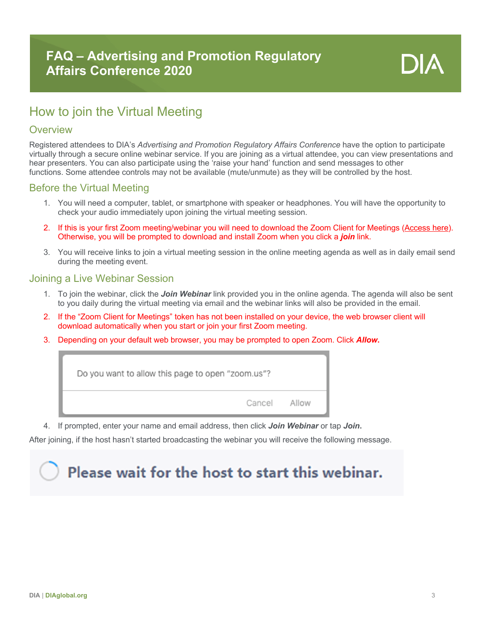# How to join the Virtual Meeting

# **Overview**

Registered attendees to DIA's *Advertising and Promotion Regulatory Affairs Conference* have the option to participate virtually through a secure online webinar service. If you are joining as a virtual attendee, you can view presentations and hear presenters. You can also participate using the 'raise your hand' function and send messages to other functions. Some attendee controls may not be available (mute/unmute) as they will be controlled by the host.

# Before the Virtual Meeting

- 1. You will need a computer, tablet, or smartphone with speaker or headphones. You will have the opportunity to check your audio immediately upon joining the virtual meeting session.
- 2. If this is your first Zoom meeting/webinar you will need to download the Zoom Client for Meetings (Access here). Otherwise, you will be prompted to download and install Zoom when you click a *join* link.
- 3. You will receive links to join a virtual meeting session in the online meeting agenda as well as in daily email send during the meeting event.

#### Joining a Live Webinar Session

- 1. To join the webinar, click the *Join Webinar* link provided you in the online agenda. The agenda will also be sent to you daily during the virtual meeting via email and the webinar links will also be provided in the email.
- 2. If the "Zoom Client for Meetings" token has not been installed on your device, the web browser client will download automatically when you start or join your first Zoom meeting.
- 3. Depending on your default web browser, you may be prompted to open Zoom. Click *Allow***.**



4. If prompted, enter your name and email address, then click *Join Webinar* or tap *Join***.**

After joining, if the host hasn't started broadcasting the webinar you will receive the following message.

# Please wait for the host to start this webinar.